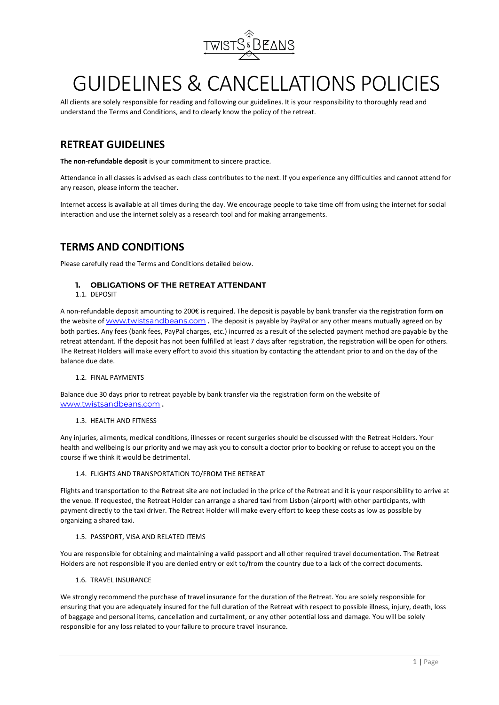

# GUIDELINES & CANCELLATIONS POLICIES

All clients are solely responsible for reading and following our guidelines. It is your responsibility to thoroughly read and understand the Terms and Conditions, and to clearly know the policy of the retreat.

# **RETREAT GUIDELINES**

**The non-refundable deposit** is your commitment to sincere practice.

Attendance in all classes is advised as each class contributes to the next. If you experience any difficulties and cannot attend for any reason, please inform the teacher.

Internet access is available at all times during the day. We encourage people to take time off from using the internet for social interaction and use the internet solely as a research tool and for making arrangements.

# **TERMS AND CONDITIONS**

Please carefully read the Terms and Conditions detailed below.

## **1. OBLIGATIONS OF THE RETREAT ATTENDANT**

1.1. DEPOSIT

A non-refundable deposit amounting to 200€ is required. The deposit is payable by bank transfer via the registration form **on** the website of [www.twistsandbeans.com](http://www.twistsandbeans.com/) **.** The deposit is payable by PayPal or any other means mutually agreed on by both parties. Any fees (bank fees, PayPal charges, etc.) incurred as a result of the selected payment method are payable by the retreat attendant. If the deposit has not been fulfilled at least 7 days after registration, the registration will be open for others. The Retreat Holders will make every effort to avoid this situation by contacting the attendant prior to and on the day of the balance due date.

#### 1.2. FINAL PAYMENTS

Balance due 30 days prior to retreat payable by bank transfer via the registration form on the website of [www.twistsandbeans.com](http://www.twistsandbeans.com/) **.**

#### 1.3. HEALTH AND FITNESS

Any injuries, ailments, medical conditions, illnesses or recent surgeries should be discussed with the Retreat Holders. Your health and wellbeing is our priority and we may ask you to consult a doctor prior to booking or refuse to accept you on the course if we think it would be detrimental.

#### 1.4. FLIGHTS AND TRANSPORTATION TO/FROM THE RETREAT

Flights and transportation to the Retreat site are not included in the price of the Retreat and it is your responsibility to arrive at the venue. If requested, the Retreat Holder can arrange a shared taxi from Lisbon (airport) with other participants, with payment directly to the taxi driver. The Retreat Holder will make every effort to keep these costs as low as possible by organizing a shared taxi.

#### 1.5. PASSPORT, VISA AND RELATED ITEMS

You are responsible for obtaining and maintaining a valid passport and all other required travel documentation. The Retreat Holders are not responsible if you are denied entry or exit to/from the country due to a lack of the correct documents.

#### 1.6. TRAVEL INSURANCE

We strongly recommend the purchase of travel insurance for the duration of the Retreat. You are solely responsible for ensuring that you are adequately insured for the full duration of the Retreat with respect to possible illness, injury, death, loss of baggage and personal items, cancellation and curtailment, or any other potential loss and damage. You will be solely responsible for any loss related to your failure to procure travel insurance.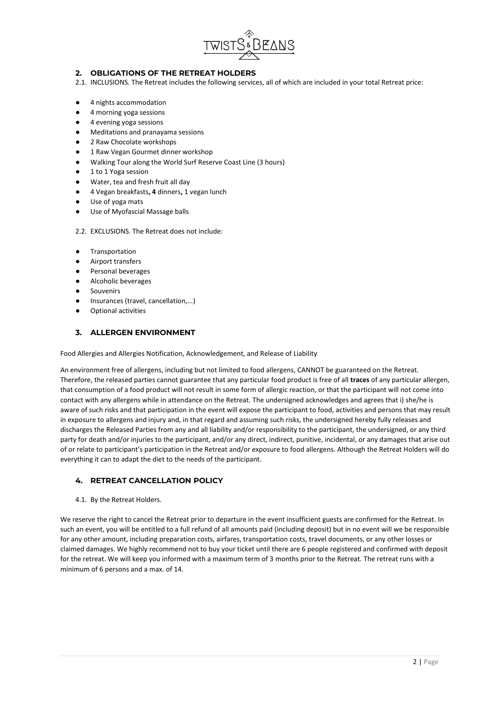

## **2. OBLIGATIONS OF THE RETREAT HOLDERS**

- 2.1. INCLUSIONS. The Retreat includes the following services, all of which are included in your total Retreat price:
- 4 nights accommodation
- 4 morning yoga sessions
- 4 evening yoga sessions
- Meditations and pranayama sessions
- 2 Raw Chocolate workshops
- 1 Raw Vegan Gourmet dinner workshop
- Walking Tour along the World Surf Reserve Coast Line (3 hours)
- 1 to 1 Yoga session
- Water, tea and fresh fruit all day
- 4 Vegan breakfasts**, 4** dinners**,** 1 vegan lunch
- Use of yoga mats
- Use of Myofascial Massage balls
- 2.2. EXCLUSIONS. The Retreat does not include:
- Transportation
- Airport transfers
- Personal beverages
- Alcoholic beverages
- **Souvenirs**
- Insurances (travel, cancellation,...)
- Optional activities

## **3. ALLERGEN ENVIRONMENT**

Food Allergies and Allergies Notification, Acknowledgement, and Release of Liability

An environment free of allergens, including but not limited to food allergens, CANNOT be guaranteed on the Retreat. Therefore, the released parties cannot guarantee that any particular food product is free of all **traces** of any particular allergen, that consumption of a food product will not result in some form of allergic reaction, or that the participant will not come into contact with any allergens while in attendance on the Retreat. The undersigned acknowledges and agrees that i) she/he is aware of such risks and that participation in the event will expose the participant to food, activities and persons that may result in exposure to allergens and injury and, in that regard and assuming such risks, the undersigned hereby fully releases and discharges the Released Parties from any and all liability and/or responsibility to the participant, the undersigned, or any third party for death and/or injuries to the participant, and/or any direct, indirect, punitive, incidental, or any damages that arise out of or relate to participant's participation in the Retreat and/or exposure to food allergens. Although the Retreat Holders will do everything it can to adapt the diet to the needs of the participant.

## **4. RETREAT CANCELLATION POLICY**

4.1. By the Retreat Holders.

We reserve the right to cancel the Retreat prior to departure in the event insufficient guests are confirmed for the Retreat. In such an event, you will be entitled to a full refund of all amounts paid (including deposit) but in no event will we be responsible for any other amount, including preparation costs, airfares, transportation costs, travel documents, or any other losses or claimed damages. We highly recommend not to buy your ticket until there are 6 people registered and confirmed with deposit for the retreat. We will keep you informed with a maximum term of 3 months prior to the Retreat. The retreat runs with a minimum of 6 persons and a max. of 14.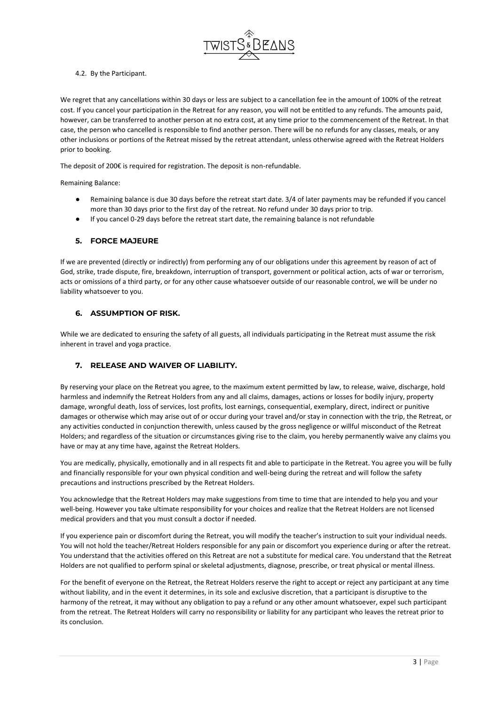

#### 4.2. By the Participant.

We regret that any cancellations within 30 days or less are subject to a cancellation fee in the amount of 100% of the retreat cost. If you cancel your participation in the Retreat for any reason, you will not be entitled to any refunds. The amounts paid, however, can be transferred to another person at no extra cost, at any time prior to the commencement of the Retreat. In that case, the person who cancelled is responsible to find another person. There will be no refunds for any classes, meals, or any other inclusions or portions of the Retreat missed by the retreat attendant, unless otherwise agreed with the Retreat Holders prior to booking.

The deposit of 200€ is required for registration. The deposit is non-refundable.

Remaining Balance:

- Remaining balance is due 30 days before the retreat start date. 3/4 of later payments may be refunded if you cancel more than 30 days prior to the first day of the retreat. No refund under 30 days prior to trip.
- If you cancel 0-29 days before the retreat start date, the remaining balance is not refundable

#### **5. FORCE MAJEURE**

If we are prevented (directly or indirectly) from performing any of our obligations under this agreement by reason of act of God, strike, trade dispute, fire, breakdown, interruption of transport, government or political action, acts of war or terrorism, acts or omissions of a third party, or for any other cause whatsoever outside of our reasonable control, we will be under no liability whatsoever to you.

#### **6. ASSUMPTION OF RISK.**

While we are dedicated to ensuring the safety of all guests, all individuals participating in the Retreat must assume the risk inherent in travel and yoga practice.

## **7. RELEASE AND WAIVER OF LIABILITY.**

By reserving your place on the Retreat you agree, to the maximum extent permitted by law, to release, waive, discharge, hold harmless and indemnify the Retreat Holders from any and all claims, damages, actions or losses for bodily injury, property damage, wrongful death, loss of services, lost profits, lost earnings, consequential, exemplary, direct, indirect or punitive damages or otherwise which may arise out of or occur during your travel and/or stay in connection with the trip, the Retreat, or any activities conducted in conjunction therewith, unless caused by the gross negligence or willful misconduct of the Retreat Holders; and regardless of the situation or circumstances giving rise to the claim, you hereby permanently waive any claims you have or may at any time have, against the Retreat Holders.

You are medically, physically, emotionally and in all respects fit and able to participate in the Retreat. You agree you will be fully and financially responsible for your own physical condition and well-being during the retreat and will follow the safety precautions and instructions prescribed by the Retreat Holders.

You acknowledge that the Retreat Holders may make suggestions from time to time that are intended to help you and your well-being. However you take ultimate responsibility for your choices and realize that the Retreat Holders are not licensed medical providers and that you must consult a doctor if needed.

If you experience pain or discomfort during the Retreat, you will modify the teacher's instruction to suit your individual needs. You will not hold the teacher/Retreat Holders responsible for any pain or discomfort you experience during or after the retreat. You understand that the activities offered on this Retreat are not a substitute for medical care. You understand that the Retreat Holders are not qualified to perform spinal or skeletal adjustments, diagnose, prescribe, or treat physical or mental illness.

For the benefit of everyone on the Retreat, the Retreat Holders reserve the right to accept or reject any participant at any time without liability, and in the event it determines, in its sole and exclusive discretion, that a participant is disruptive to the harmony of the retreat, it may without any obligation to pay a refund or any other amount whatsoever, expel such participant from the retreat. The Retreat Holders will carry no responsibility or liability for any participant who leaves the retreat prior to its conclusion.